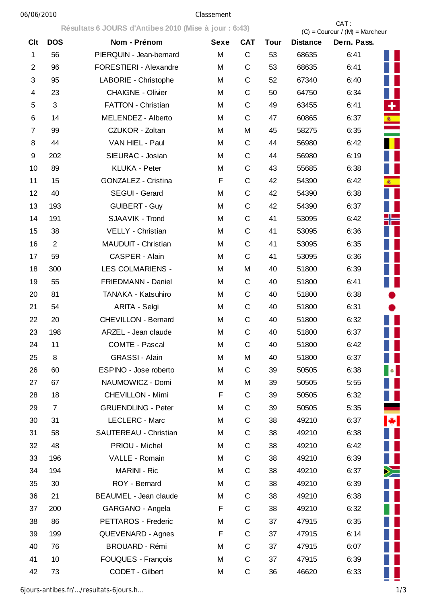## 06/06/2010 Classement

**Résultats 6 JOURS d'Antibes 2010 (Mise à jour : 6:43)** CAT : CAT : CAT : CAT : CAT : CAT : CAT : CAT : CAT : CAT : CAT : CAT : CAT : CAT : CAT : CAT : CAT : CAT : CAT : CAT : CAT : CAT : CAT : CAT : CAT : CAT : CAT : CAT  $(C) =$  Coureur /  $(M) =$  Marcheur Clt DOS Nom - Prénom Sexe CAT Tour Distance Dern. Pass. 1 56 PIERQUIN - Jean-bernard M C 53 68635 6:41 2 96 FORESTIERI - Alexandre M C 53 68635 6:41 3 95 LABORIE - Christophe M C 52 67340 6:40 4 23 CHAIGNE - Olivier M C 50 64750 6:34 5 3 FATTON - Christian M C 49 63455 6:41 6 14 MELENDEZ - Alberto M C 47 60865 6:37 7 99 CZUKOR - Zoltan M M 45 58275 6:35 8 44 VAN HIEL - Paul M C 44 56980 6:42 9 202 SIEURAC - Josian M C 44 56980 6:19 10 89 KLUKA - Peter M C 43 55685 6:38 11 15 GONZALEZ - Cristina F C 42 54390 6:42 12 40 SEGUI - Gerard M C 42 54390 6:38 13 193 GUIBERT - Guy M C 42 54390 6:37 14 191 SJAAVIK - Trond M C 41 53095 6:42 15 38 VELLY - Christian M C 41 53095 6:36 16 2 MAUDUIT - Christian M C 41 53095 6:35 17 59 CASPER - Alain M C 41 53095 6:36 18 300 LES COLMARIENS - M M 40 51800 6:39 19 55 FRIEDMANN - Daniel M C 40 51800 6:41 20 81 TANAKA - Katsuhiro M C 40 51800 6:38 21 54 ARITA - Seìgi M C 40 51800 6:31 22 20 CHEVILLON - Bernard M C 40 51800 6:32 23 198 ARZEL - Jean claude M C 40 51800 6:37 24 11 COMTE - Pascal M C 40 51800 6:42 25 8 GRASSI - Alain M M 40 51800 6:37 26 60 ESPINO - Jose roberto M C 39 50505 6:38 27 67 NAUMOWICZ - Domi M M 39 50505 5:55 28 18 CHEVILLON - Mimi F C 39 50505 6:32 29 7 GRUENDLING - Peter M C 39 50505 5:35 30 31 LECLERC - Marc M C 38 49210 6:37 31 58 SAUTEREAU - Christian M C 38 49210 6:38 32 48 PRIOU - Michel M C 38 49210 6:42 33 196 VALLE - Romain M C 38 49210 6:39 34 194 MARINI - Ric M C 38 49210 6:37 35 30 ROY - Bernard M C 38 49210 6:39 36 21 BEAUMEL - Jean claude M C 38 49210 6:38 37 200 GARGANO - Angela F C 38 49210 6:32 38 86 PETTAROS - Frederic M C 37 47915 6:35 39 199 QUEVENARD - Agnes F C 37 47915 6:14 40 76 BROUARD - Rémi M C 37 47915 6:07 41 10 FOUQUES - François M C 37 47915 6:39 42 73 CODET - Gilbert M C 36 46620 6:33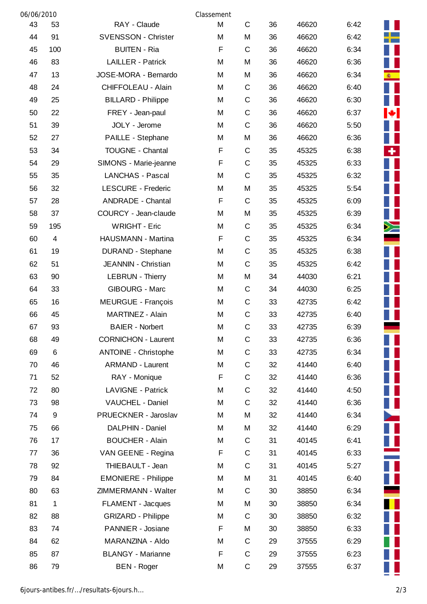| 06/06/2010<br>Classement |             |                             |   |              |    |       |      |                          |
|--------------------------|-------------|-----------------------------|---|--------------|----|-------|------|--------------------------|
| 43                       | 53          | RAY - Claude                | M | $\mathsf{C}$ | 36 | 46620 | 6:42 |                          |
| 44                       | 91          | <b>SVENSSON - Christer</b>  | M | M            | 36 | 46620 | 6:42 |                          |
| 45                       | 100         | <b>BUITEN - Ria</b>         | F | $\mathsf{C}$ | 36 | 46620 | 6:34 |                          |
| 46                       | 83          | <b>LAILLER - Patrick</b>    | M | M            | 36 | 46620 | 6:36 |                          |
| 47                       | 13          | JOSE-MORA - Bernardo        | M | M            | 36 | 46620 | 6:34 | <b>图</b>                 |
| 48                       | 24          | CHIFFOLEAU - Alain          | M | C            | 36 | 46620 | 6:40 |                          |
| 49                       | 25          | <b>BILLARD - Philippe</b>   | M | C            | 36 | 46620 | 6:30 |                          |
| 50                       | 22          | FREY - Jean-paul            | M | C            | 36 | 46620 | 6:37 | M.                       |
| 51                       | 39          | JOLY - Jerome               | M | C            | 36 | 46620 | 5:50 |                          |
| 52                       | 27          | PAILLE - Stephane           | M | M            | 36 | 46620 | 6:36 |                          |
| 53                       | 34          | <b>TOUGNE - Chantal</b>     | F | C            | 35 | 45325 | 6:38 | ٠                        |
| 54                       | 29          | SIMONS - Marie-jeanne       | F | $\mathsf C$  | 35 | 45325 | 6:33 |                          |
| 55                       | 35          | <b>LANCHAS - Pascal</b>     | M | C            | 35 | 45325 | 6:32 |                          |
| 56                       | 32          | <b>LESCURE - Frederic</b>   | M | M            | 35 | 45325 | 5:54 |                          |
| 57                       | 28          | <b>ANDRADE - Chantal</b>    | F | C            | 35 | 45325 | 6:09 |                          |
| 58                       | 37          | COURCY - Jean-claude        | M | M            | 35 | 45325 | 6:39 |                          |
| 59                       | 195         | <b>WRIGHT - Eric</b>        | M | C            | 35 | 45325 | 6:34 | ≻                        |
| 60                       | 4           | HAUSMANN - Martina          | F | C            | 35 | 45325 | 6:34 |                          |
| 61                       | 19          | <b>DURAND - Stephane</b>    | M | C            | 35 | 45325 | 6:38 |                          |
| 62                       | 51          | JEANNIN - Christian         | M | C            | 35 | 45325 | 6:42 |                          |
| 63                       | 90          | <b>LEBRUN - Thierry</b>     | M | M            | 34 | 44030 | 6:21 |                          |
| 64                       | 33          | <b>GIBOURG - Marc</b>       | M | C            | 34 | 44030 | 6:25 |                          |
| 65                       | 16          | <b>MEURGUE - François</b>   | M | C            | 33 | 42735 | 6:42 |                          |
| 66                       | 45          | MARTINEZ - Alain            | M | C            | 33 | 42735 | 6:40 |                          |
| 67                       | 93          | <b>BAIER - Norbert</b>      | M | C            | 33 | 42735 | 6:39 |                          |
| 68                       | 49          | <b>CORNICHON - Laurent</b>  | M | $\mathsf{C}$ | 33 | 42735 | 6:36 |                          |
| 69                       | $\,6$       | <b>ANTOINE - Christophe</b> | M | $\mathsf{C}$ | 33 | 42735 | 6:34 |                          |
| 70                       | 46          | <b>ARMAND - Laurent</b>     | M | C            | 32 | 41440 | 6:40 |                          |
| 71                       | 52          | RAY - Monique               | F | $\mathsf C$  | 32 | 41440 | 6:36 |                          |
| 72                       | 80          | LAVIGNE - Patrick           | M | C            | 32 | 41440 | 4:50 | Ш                        |
| 73                       | 98          | VAUCHEL - Daniel            | M | $\mathsf C$  | 32 | 41440 | 6:36 |                          |
| 74                       | 9           | PRUECKNER - Jaroslav        | M | M            | 32 | 41440 | 6:34 | $\overline{\phantom{a}}$ |
| 75                       | 66          | DALPHIN - Daniel            | M | M            | 32 | 41440 | 6:29 |                          |
| 76                       | 17          | <b>BOUCHER - Alain</b>      | M | C            | 31 | 40145 | 6:41 | Ц                        |
| 77                       | 36          | VAN GEENE - Regina          | F | C            | 31 | 40145 | 6:33 |                          |
| 78                       | 92          | THIEBAULT - Jean            | M | C            | 31 | 40145 | 5:27 | Ц                        |
| 79                       | 84          | <b>EMONIERE - Philippe</b>  | M | M            | 31 | 40145 | 6:40 | П                        |
| 80                       | 63          | ZIMMERMANN - Walter         | M | C            | 30 | 38850 | 6:34 |                          |
| 81                       | $\mathbf 1$ | FLAMENT - Jacques           | M | M            | 30 | 38850 | 6:34 |                          |
| 82                       | 88          | <b>GRIZARD - Philippe</b>   | M | C            | 30 | 38850 | 6:32 |                          |
| 83                       | 74          | PANNIER - Josiane           | F | M            | 30 | 38850 | 6:33 |                          |
| 84                       | 62          | MARANZINA - Aldo            | M | C            | 29 | 37555 | 6:29 |                          |
| 85                       | 87          | <b>BLANGY - Marianne</b>    | F | C            | 29 | 37555 | 6:23 |                          |
| 86                       | 79          | <b>BEN</b> - Roger          | M | C            | 29 | 37555 | 6:37 |                          |

П Ш

Ī